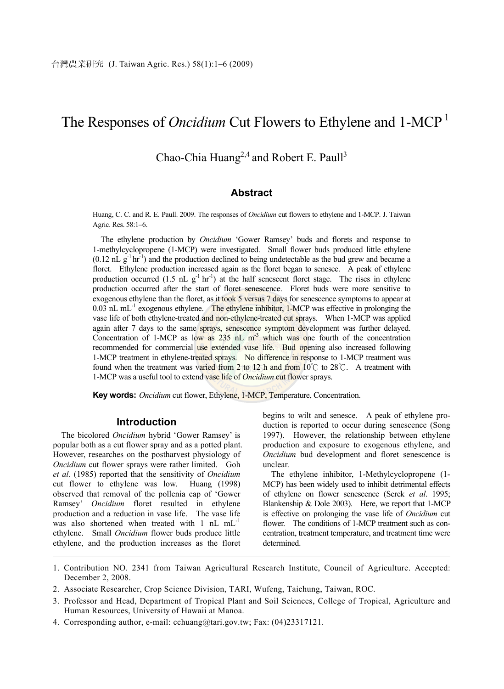## The Responses of *Oncidium* Cut Flowers to Ethylene and 1-MCP 1

### Chao-Chia Huang<sup>2,4</sup> and Robert E. Paull<sup>3</sup>

#### **Abstract**

Huang, C. C. and R. E. Paull. 2009. The responses of *Oncidium* cut flowers to ethylene and 1-MCP. J. Taiwan Agric. Res. 58:1–6.

The ethylene production by *Oncidium* 'Gower Ramsey' buds and florets and response to 1-methylcyclopropene (1-MCP) were investigated. Small flower buds produced little ethylene  $(0.12 \text{ nL g}^{-1} \text{ hr}^{-1})$  and the production declined to being undetectable as the bud grew and became a floret. Ethylene production increased again as the floret began to senesce. A peak of ethylene production occurred (1.5 nL  $g^{-1}$  hr<sup>-1</sup>) at the half senescent floret stage. The rises in ethylene production occurred after the start of floret senescence. Floret buds were more sensitive to exogenous ethylene than the floret, as it took 5 versus 7 days for senescence symptoms to appear at 0.03 nL mL $^{-1}$  exogenous ethylene. The ethylene inhibitor, 1-MCP was effective in prolonging the vase life of both ethylene-treated and non-ethylene-treated cut sprays. When 1-MCP was applied again after 7 days to the same sprays, senescence symptom development was further delayed. Concentration of 1-MCP as low as  $235$  nL m<sup>-3</sup> which was one fourth of the concentration recommended for commercial use extended vase life. Bud opening also increased following 1-MCP treatment in ethylene-treated sprays. No difference in response to 1-MCP treatment was found when the treatment was varied from 2 to 12 h and from 10°C to 28°C. A treatment with 1-MCP was a useful tool to extend vase life of *Oncidium* cut flower sprays.

**Key words:** *Oncidium* cut flower, Ethylene, 1-MCP, Temperature, Concentration.

#### **Introduction**

The bicolored *Oncidium* hybrid 'Gower Ramsey' is popular both as a cut flower spray and as a potted plant. However, researches on the postharvest physiology of *Oncidium* cut flower sprays were rather limited. Goh *et al.* (1985) reported that the sensitivity of *Oncidium* cut flower to ethylene was low. Huang (1998) observed that removal of the pollenia cap of 'Gower Ramsey' *Oncidium* floret resulted in ethylene production and a reduction in vase life. The vase life was also shortened when treated with 1 nL mL<sup>-1</sup> ethylene. Small *Oncidium* flower buds produce little ethylene, and the production increases as the floret

begins to wilt and senesce. A peak of ethylene production is reported to occur during senescence (Song 1997). However, the relationship between ethylene production and exposure to exogenous ethylene, and *Oncidium* bud development and floret senescence is unclear.

The ethylene inhibitor, 1-Methylcyclopropene (1- MCP) has been widely used to inhibit detrimental effects of ethylene on flower senescence (Serek *et al*. 1995; Blankenship & Dole 2003). Here, we report that 1-MCP is effective on prolonging the vase life of *Oncidium* cut flower. The conditions of 1-MCP treatment such as concentration, treatment temperature, and treatment time were determined.

- 1. Contribution NO. 2341 from Taiwan Agricultural Research Institute, Council of Agriculture. Accepted: December 2, 2008.
- 2. Associate Researcher, Crop Science Division, TARI, Wufeng, Taichung, Taiwan, ROC.
- 3. Professor and Head, Department of Tropical Plant and Soil Sciences, College of Tropical, Agriculture and Human Resources, University of Hawaii at Manoa.
- 4. Corresponding author, e-mail: cchuang@tari.gov.tw; Fax: (04)23317121.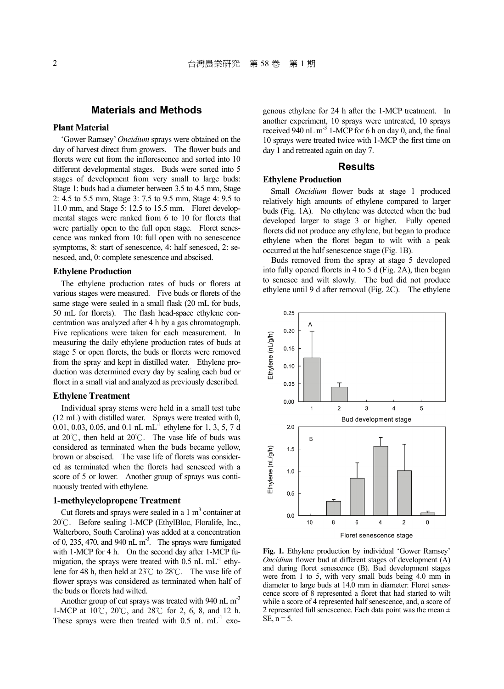#### **Materials and Methods**

#### **Plant Material**

'Gower Ramsey' *Oncidium* sprays were obtained on the day of harvest direct from growers. The flower buds and florets were cut from the inflorescence and sorted into 10 different developmental stages. Buds were sorted into 5 stages of development from very small to large buds: Stage 1: buds had a diameter between 3.5 to 4.5 mm, Stage 2: 4.5 to 5.5 mm, Stage 3: 7.5 to 9.5 mm, Stage 4: 9.5 to 11.0 mm, and Stage 5: 12.5 to 15.5 mm. Floret developmental stages were ranked from 6 to 10 for florets that were partially open to the full open stage. Floret senescence was ranked from 10: full open with no senescence symptoms, 8: start of senescence, 4: half senesced, 2: senesced, and, 0: complete senescence and abscised.

#### **Ethylene Production**

The ethylene production rates of buds or florets at various stages were measured. Five buds or florets of the same stage were sealed in a small flask (20 mL for buds, 50 mL for florets). The flash head-space ethylene concentration was analyzed after 4 h by a gas chromatograph. Five replications were taken for each measurement. In measuring the daily ethylene production rates of buds at stage 5 or open florets, the buds or florets were removed from the spray and kept in distilled water. Ethylene production was determined every day by sealing each bud or floret in a small vial and analyzed as previously described.

#### **Ethylene Treatment**

Individual spray stems were held in a small test tube (12 mL) with distilled water. Sprays were treated with 0, 0.01, 0.03, 0.05, and 0.1 nL mL $^{-1}$  ethylene for 1, 3, 5, 7 d at 20℃, then held at 20℃. The vase life of buds was considered as terminated when the buds became yellow, brown or abscised. The vase life of florets was considered as terminated when the florets had senesced with a score of 5 or lower. Another group of sprays was continuously treated with ethylene.

#### **1-methylcyclopropene Treatment**

Cut florets and sprays were sealed in a  $1 \text{ m}^3$  container at 20℃. Before sealing 1-MCP (EthylBloc, Floralife, Inc., Walterboro, South Carolina) was added at a concentration of 0, 235, 470, and 940 nL  $\text{m}^3$ . The sprays were fumigated with 1-MCP for 4 h. On the second day after 1-MCP fumigation, the sprays were treated with  $0.5$  nL mL $^{-1}$  ethylene for 48 h, then held at 23℃ to 28℃. The vase life of flower sprays was considered as terminated when half of the buds or florets had wilted.

Another group of cut sprays was treated with 940 nL m<sup>-3</sup> 1-MCP at 10℃, 20℃, and 28℃ for 2, 6, 8, and 12 h. These sprays were then treated with  $0.5$  nL mL<sup>-1</sup> exogenous ethylene for 24 h after the 1-MCP treatment. In another experiment, 10 sprays were untreated, 10 sprays received 940 nL  $m<sup>-3</sup>$  1-MCP for 6 h on day 0, and, the final 10 sprays were treated twice with 1-MCP the first time on day 1 and retreated again on day 7.

#### **Results**

#### **Ethylene Production**

Small *Oncidium* flower buds at stage 1 produced relatively high amounts of ethylene compared to larger buds (Fig. 1A). No ethylene was detected when the bud developed larger to stage 3 or higher. Fully opened florets did not produce any ethylene, but began to produce ethylene when the floret began to wilt with a peak occurred at the half senescence stage (Fig. 1B).

Buds removed from the spray at stage 5 developed into fully opened florets in 4 to 5 d (Fig. 2A), then began to senesce and wilt slowly. The bud did not produce ethylene until 9 d after removal (Fig. 2C). The ethylene



**Fig. 1.** Ethylene production by individual 'Gower Ramsey' *Oncidium* flower bud at different stages of development (A) and during floret senescence (B). Bud development stages were from 1 to 5, with very small buds being 4.0 mm in diameter to large buds at 14.0 mm in diameter: Floret senescence score of 8 represented a floret that had started to wilt while a score of 4 represented half senescence, and, a score of 2 represented full senescence. Each data point was the mean  $\pm$ SE,  $n = 5$ .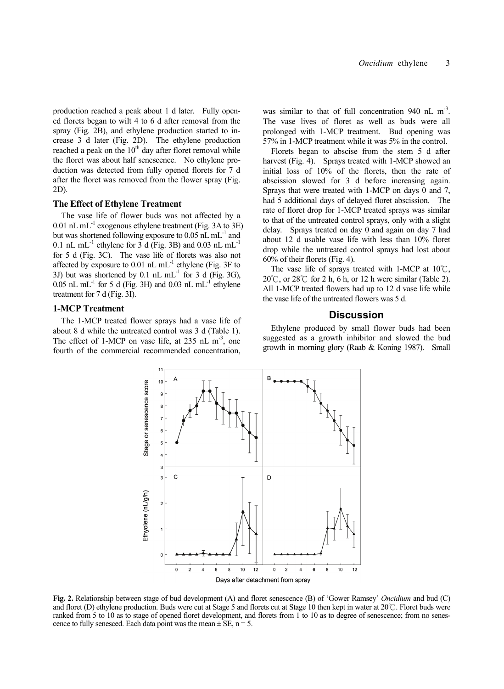production reached a peak about 1 d later. Fully opened florets began to wilt 4 to 6 d after removal from the spray (Fig. 2B), and ethylene production started to increase 3 d later (Fig. 2D). The ethylene production reached a peak on the  $10<sup>th</sup>$  day after floret removal while the floret was about half senescence. No ethylene production was detected from fully opened florets for 7 d after the floret was removed from the flower spray (Fig. 2D).

#### **The Effect of Ethylene Treatment**

The vase life of flower buds was not affected by a 0.01 nL mL<sup>-1</sup> exogenous ethylene treatment (Fig. 3A to  $3E$ ) but was shortened following exposure to 0.05 nL mL-1 and 0.1 nL mL<sup>-1</sup> ethylene for  $\overline{3}$  d (Fig. 3B) and 0.03 nL mL<sup>-1</sup> for 5 d (Fig. 3C). The vase life of florets was also not affected by exposure to  $0.01$  nL mL<sup>-1</sup> ethylene (Fig. 3F to 3J) but was shortened by  $0.1$  nL mL<sup>-1</sup> for 3 d (Fig. 3G), 0.05 nL mL $^{-1}$  for 5 d (Fig. 3H) and 0.03 nL mL $^{-1}$  ethylene treatment for 7 d (Fig. 3I).

#### **1-MCP Treatment**

The 1-MCP treated flower sprays had a vase life of about 8 d while the untreated control was 3 d (Table 1). The effect of 1-MCP on vase life, at  $235$  nL m<sup>-3</sup>, one fourth of the commercial recommended concentration,

was similar to that of full concentration 940 nL  $m<sup>-3</sup>$ . The vase lives of floret as well as buds were all prolonged with 1-MCP treatment. Bud opening was 57% in 1-MCP treatment while it was 5% in the control.

Florets began to abscise from the stem 5 d after harvest (Fig. 4). Sprays treated with 1-MCP showed an initial loss of 10% of the florets, then the rate of abscission slowed for 3 d before increasing again. Sprays that were treated with 1-MCP on days 0 and 7, had 5 additional days of delayed floret abscission. The rate of floret drop for 1-MCP treated sprays was similar to that of the untreated control sprays, only with a slight delay. Sprays treated on day 0 and again on day 7 had about 12 d usable vase life with less than 10% floret drop while the untreated control sprays had lost about 60% of their florets (Fig. 4).

The vase life of sprays treated with 1-MCP at 10℃, 20°C, or  $28^\circ$ C for 2 h, 6 h, or 12 h were similar (Table 2). All 1-MCP treated flowers had up to 12 d vase life while the vase life of the untreated flowers was 5 d.

#### **Discussion**

Ethylene produced by small flower buds had been suggested as a growth inhibitor and slowed the bud growth in morning glory (Raab & Koning 1987). Small



**Fig. 2.** Relationship between stage of bud development (A) and floret senescence (B) of 'Gower Ramsey' *Oncidium* and bud (C) and floret (D) ethylene production. Buds were cut at Stage 5 and florets cut at Stage 10 then kept in water at 20℃. Floret buds were ranked from 5 to 10 as to stage of opened floret development, and florets from 1 to 10 as to degree of senescence; from no senescence to fully senesced. Each data point was the mean  $\pm$  SE, n = 5.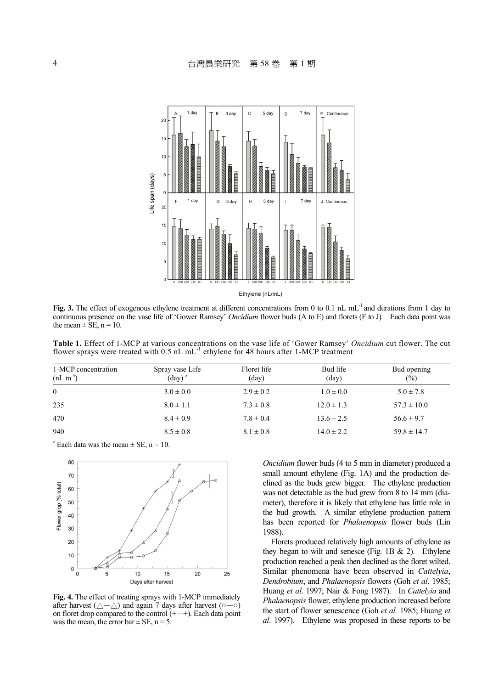

**Fig. 3.** The effect of exogenous ethylene treatment at different concentrations from 0 to 0.1 nL mL<sup>-1</sup> and durations from 1 day to continuous presence on the vase life of 'Gower Ramsey' *Oncidium* flower buds (A to E) and florets (F to J). Each data point was the mean  $\pm$  SE, n = 10.

**Table 1.** Effect of 1-MCP at various concentrations on the vase life of 'Gower Ramsey' *Oncidium* cut flower. The cut flower sprays were treated with  $0.5$  nL mL<sup>-1</sup> ethylene for 48 hours after 1-MCP treatment

| 1-MCP concentration<br>$(nL m-3)$ | Spray vase Life<br>$(\text{day})^z$ | Floret life<br>$\text{(day)}$ | Bud life<br>(day) | Bud opening<br>$(\%)$ |
|-----------------------------------|-------------------------------------|-------------------------------|-------------------|-----------------------|
| $\theta$                          | $3.0 \pm 0.0$                       | $2.9 \pm 0.2$                 | $1.0 \pm 0.0$     | $5.0 \pm 7.8$         |
| 235                               | $8.0 \pm 1.1$                       | $7.3 \pm 0.8$                 | $12.0 \pm 1.3$    | $57.3 \pm 10.0$       |
| 470                               | $8.4 \pm 0.9$                       | $7.8 \pm 0.4$                 | $13.6 \pm 2.5$    | $56.6 \pm 9.7$        |
| 940                               | $8.5 \pm 0.8$                       | $8.1 \pm 0.8$                 | $14.0 \pm 2.2$    | $59.8 \pm 14.7$       |

<sup>z</sup> Each data was the mean  $\pm$  SE, n = 10.



**Fig. 4.** The effect of treating sprays with 1-MCP immediately after harvest ( $\triangle-\triangle$ ) and again 7 days after harvest ( $\circ$ — $\circ$ ) on floret drop compared to the control (+—+). Each data point on floret drop compared to the control  $(+)$ . was the mean, the error bar  $\pm$  SE, n = 5.

*Oncidium* flower buds (4 to 5 mm in diameter) produced a small amount ethylene (Fig. 1A) and the production declined as the buds grew bigger. The ethylene production was not detectable as the bud grew from 8 to 14 mm (diameter), therefore it is likely that ethylene has little role in the bud growth. A similar ethylene production pattern has been reported for *Phalaenopsis* flower buds (Lin 1988).

Florets produced relatively high amounts of ethylene as they began to wilt and senesce (Fig. 1B  $\&$  2). Ethylene production reached a peak then declined as the floret wilted. Similar phenomena have been observed in *Cattelyia*, *Dendrobium*, and *Phalaenopsis* flowers (Goh *et al*. 1985; Huang *et al*. 1997; Nair & Fong 1987). In *Cattelyia* and *Phalaenopsis* flower, ethylene production increased before the start of flower senescence (Goh *et al.* 1985; Huang *et al*. 1997). Ethylene was proposed in these reports to be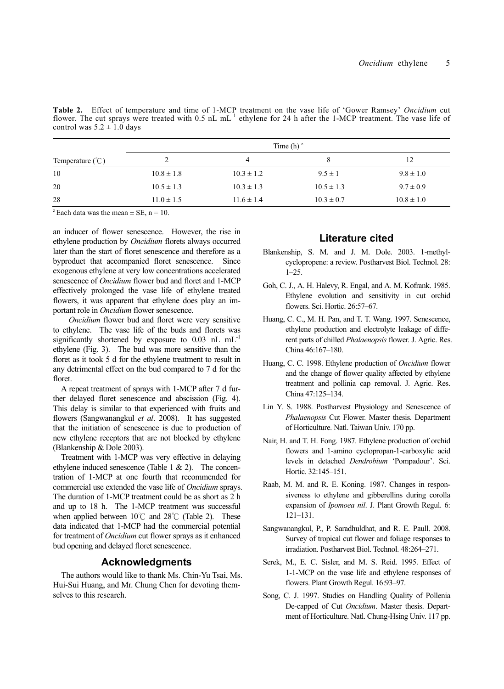Table 2. Effect of temperature and time of 1-MCP treatment on the vase life of 'Gower Ramsey' Oncidium cut<br>flower. The cut sprays were treated with 0.5 nL mL<sup>-1</sup> ethylene for 24 h after the 1-MCP treatment. The vase life o control was  $5.2 \pm 1.0$  days

|                             | Time $(h)^{z}$ |                |                |                |  |
|-----------------------------|----------------|----------------|----------------|----------------|--|
| Temperature $(\mathcal{C})$ |                |                |                | 12             |  |
| 10                          | $10.8 \pm 1.8$ | $10.3 \pm 1.2$ | $9.5 \pm 1$    | $9.8 \pm 1.0$  |  |
| 20                          | $10.5 \pm 1.3$ | $10.3 \pm 1.3$ | $10.5 \pm 1.3$ | $9.7 \pm 0.9$  |  |
| 28                          | $11.0 \pm 1.5$ | $11.6 \pm 1.4$ | $10.3 \pm 0.7$ | $10.8 \pm 1.0$ |  |

<sup>z</sup> Each data was the mean  $\pm$  SE, n = 10.

an inducer of flower senescence. However, the rise in ethylene production by *Oncidium* florets always occurred later than the start of floret senescence and therefore as a byproduct that accompanied floret senescence. Since exogenous ethylene at very low concentrations accelerated senescence of *Oncidium* flower bud and floret and 1-MCP effectively prolonged the vase life of ethylene treated flowers, it was apparent that ethylene does play an important role in *Oncidium* flower senescence.

 *Oncidium* flower bud and floret were very sensitive to ethylene. The vase life of the buds and florets was significantly shortened by exposure to  $0.03$  nL mL<sup>-1</sup> ethylene (Fig. 3). The bud was more sensitive than the floret as it took 5 d for the ethylene treatment to result in any detrimental effect on the bud compared to 7 d for the floret.

A repeat treatment of sprays with 1-MCP after 7 d further delayed floret senescence and abscission (Fig. 4). This delay is similar to that experienced with fruits and flowers (Sangwanangkul *et al*. 2008). It has suggested that the initiation of senescence is due to production of new ethylene receptors that are not blocked by ethylene (Blankenship & Dole 2003).

Treatment with 1-MCP was very effective in delaying ethylene induced senescence (Table 1 & 2). The concentration of 1-MCP at one fourth that recommended for commercial use extended the vase life of *Oncidium* sprays. The duration of 1-MCP treatment could be as short as 2 h and up to 18 h. The 1-MCP treatment was successful when applied between 10℃ and 28℃ (Table 2). These data indicated that 1-MCP had the commercial potential for treatment of *Oncidium* cut flower sprays as it enhanced bud opening and delayed floret senescence.

#### **Acknowledgments**

The authors would like to thank Ms. Chin-Yu Tsai, Ms. Hui-Sui Huang, and Mr. Chung Chen for devoting themselves to this research.

#### **Literature cited**

- Blankenship, S. M. and J. M. Dole. 2003. 1-methylcyclopropene: a review. Postharvest Biol. Technol. 28: 1–25.
- Goh, C. J., A. H. Halevy, R. Engal, and A. M. Kofrank. 1985. Ethylene evolution and sensitivity in cut orchid flowers. Sci. Hortic. 26:57–67.
- Huang, C. C., M. H. Pan, and T. T. Wang. 1997. Senescence, ethylene production and electrolyte leakage of different parts of chilled *Phalaenopsis* flower. J. Agric. Res. China 46:167–180.
- Huang, C. C. 1998. Ethylene production of *Oncidium* flower and the change of flower quality affected by ethylene treatment and pollinia cap removal. J. Agric. Res. China 47:125–134.
- Lin Y. S. 1988. Postharvest Physiology and Senescence of *Phalaenopsis* Cut Flower. Master thesis. Department of Horticulture. Natl. Taiwan Univ. 170 pp.
- Nair, H. and T. H. Fong. 1987. Ethylene production of orchid flowers and 1-amino cyclopropan-1-carboxylic acid levels in detached *Dendrobium* 'Pompadour'. Sci. Hortic. 32:145–151.
- Raab, M. M. and R. E. Koning. 1987. Changes in responsiveness to ethylene and gibberellins during corolla expansion of *Ipomoea nil*. J. Plant Growth Regul. 6: 121–131.
- Sangwanangkul, P., P. Saradhuldhat, and R. E. Paull. 2008. Survey of tropical cut flower and foliage responses to irradiation. Postharvest Biol. Technol. 48:264–271.
- Serek, M., E. C. Sisler, and M. S. Reid. 1995. Effect of 1-1-MCP on the vase life and ethylene responses of flowers. Plant Growth Regul. 16:93–97.
- Song, C. J. 1997. Studies on Handling Quality of Pollenia De-capped of Cut *Oncidium*. Master thesis. Department of Horticulture. Natl. Chung-Hsing Univ. 117 pp.